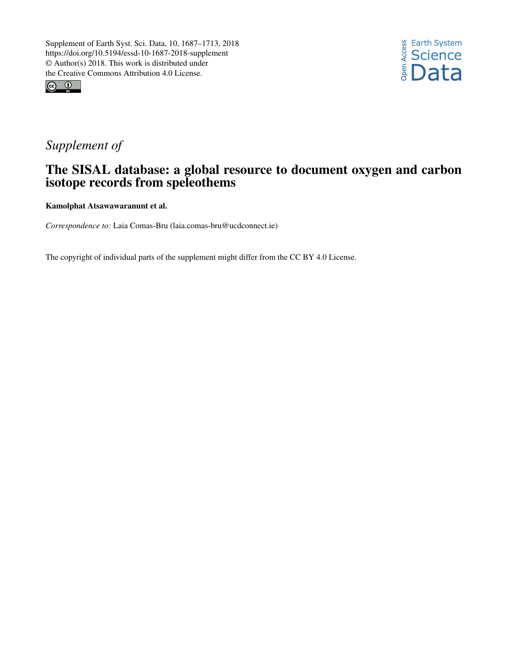



# *Supplement of*

# The SISAL database: a global resource to document oxygen and carbon isotope records from speleothems

Kamolphat Atsawawaranunt et al.

*Correspondence to:* Laia Comas-Bru (laia.comas-bru@ucdconnect.ie)

The copyright of individual parts of the supplement might differ from the CC BY 4.0 License.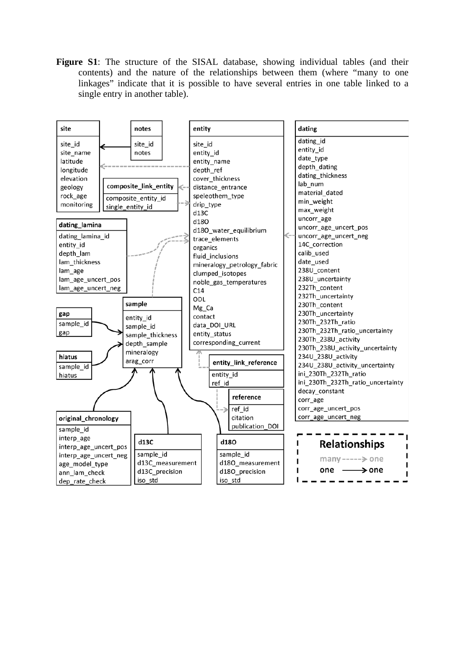**Figure S1**: The structure of the SISAL database, showing individual tables (and their contents) and the nature of the relationships between them (where "many to one linkages" indicate that it is possible to have several entries in one table linked to a single entry in another table).

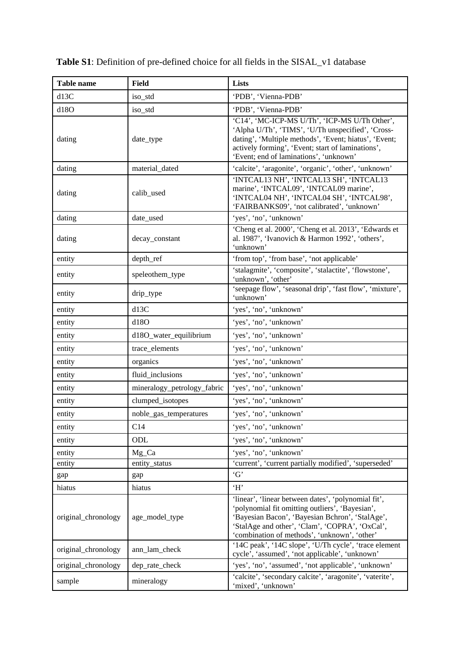| <b>Table name</b>   | <b>Field</b>                | <b>Lists</b>                                                                                                                                                                                                                                                |
|---------------------|-----------------------------|-------------------------------------------------------------------------------------------------------------------------------------------------------------------------------------------------------------------------------------------------------------|
| d13C                | iso_std                     | 'PDB', 'Vienna-PDB'                                                                                                                                                                                                                                         |
| d18O                | iso_std                     | 'PDB', 'Vienna-PDB'                                                                                                                                                                                                                                         |
| dating              | date_type                   | 'C14', 'MC-ICP-MS U/Th', 'ICP-MS U/Th Other',<br>'Alpha U/Th', 'TIMS', 'U/Th unspecified', 'Cross-<br>dating', 'Multiple methods', 'Event; hiatus', 'Event;<br>actively forming', 'Event; start of laminations',<br>'Event; end of laminations', 'unknown'  |
| dating              | material_dated              | 'calcite', 'aragonite', 'organic', 'other', 'unknown'                                                                                                                                                                                                       |
| dating              | calib_used                  | 'INTCAL13 NH', 'INTCAL13 SH', 'INTCAL13<br>marine', 'INTCAL09', 'INTCAL09 marine',<br>'INTCAL04 NH', 'INTCAL04 SH', 'INTCAL98',<br>'FAIRBANKS09', 'not calibrated', 'unknown'                                                                               |
| dating              | date_used                   | 'yes', 'no', 'unknown'                                                                                                                                                                                                                                      |
| dating              | decay_constant              | 'Cheng et al. 2000', 'Cheng et al. 2013', 'Edwards et<br>al. 1987', 'Ivanovich & Harmon 1992', 'others',<br>'unknown'                                                                                                                                       |
| entity              | depth_ref                   | 'from top', 'from base', 'not applicable'                                                                                                                                                                                                                   |
| entity              | speleothem_type             | 'stalagmite', 'composite', 'stalactite', 'flowstone',<br>'unknown', 'other'                                                                                                                                                                                 |
| entity              | drip_type                   | 'seepage flow', 'seasonal drip', 'fast flow', 'mixture',<br>'unknown'                                                                                                                                                                                       |
| entity              | d13C                        | 'yes', 'no', 'unknown'                                                                                                                                                                                                                                      |
| entity              | d18O                        | 'yes', 'no', 'unknown'                                                                                                                                                                                                                                      |
| entity              | d18O_water_equilibrium      | 'yes', 'no', 'unknown'                                                                                                                                                                                                                                      |
| entity              | trace_elements              | 'yes', 'no', 'unknown'                                                                                                                                                                                                                                      |
| entity              | organics                    | 'yes', 'no', 'unknown'                                                                                                                                                                                                                                      |
| entity              | fluid_inclusions            | 'yes', 'no', 'unknown'                                                                                                                                                                                                                                      |
| entity              | mineralogy_petrology_fabric | 'yes', 'no', 'unknown'                                                                                                                                                                                                                                      |
| entity              | clumped_isotopes            | 'yes', 'no', 'unknown'                                                                                                                                                                                                                                      |
| entity              | noble_gas_temperatures      | 'yes', 'no', 'unknown'                                                                                                                                                                                                                                      |
| entity              | C14                         | 'yes', 'no', 'unknown'                                                                                                                                                                                                                                      |
| entity              | ODL                         | 'yes', 'no', 'unknown'                                                                                                                                                                                                                                      |
| entity              | $Mg_Ca$                     | 'yes', 'no', 'unknown'                                                                                                                                                                                                                                      |
| entity              | entity_status               | 'current', 'current partially modified', 'superseded'                                                                                                                                                                                                       |
| gap                 | gap                         | G'                                                                                                                                                                                                                                                          |
| hiatus              | hiatus                      | 'H'                                                                                                                                                                                                                                                         |
| original_chronology | age_model_type              | 'linear', 'linear between dates', 'polynomial fit',<br>'polynomial fit omitting outliers', 'Bayesian',<br>'Bayesian Bacon', 'Bayesian Bchron', 'StalAge',<br>'StalAge and other', 'Clam', 'COPRA', 'OxCal',<br>'combination of methods', 'unknown', 'other' |
| original_chronology | ann_lam_check               | '14C peak', '14C slope', 'U/Th cycle', 'trace element<br>cycle', 'assumed', 'not applicable', 'unknown'                                                                                                                                                     |
| original_chronology | dep_rate_check              | 'yes', 'no', 'assumed', 'not applicable', 'unknown'                                                                                                                                                                                                         |
| sample              | mineralogy                  | 'calcite', 'secondary calcite', 'aragonite', 'vaterite',<br>'mixed', 'unknown'                                                                                                                                                                              |

**Table S1**: Definition of pre-defined choice for all fields in the SISAL\_v1 database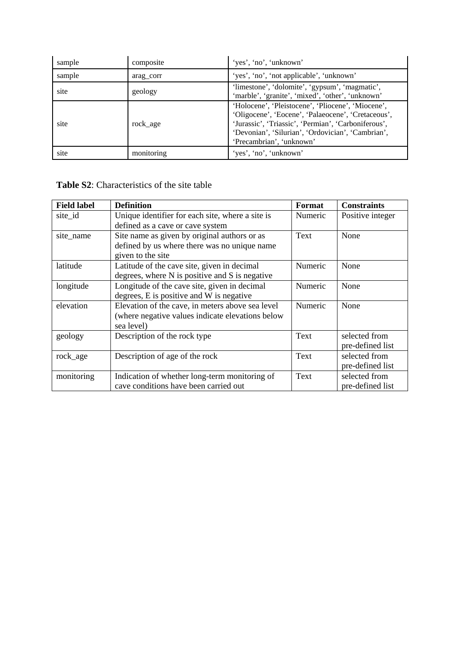| sample | composite  | 'yes', 'no', 'unknown'                                                                                                                                                                                                                          |
|--------|------------|-------------------------------------------------------------------------------------------------------------------------------------------------------------------------------------------------------------------------------------------------|
| sample | arag corr  | 'yes', 'no', 'not applicable', 'unknown'                                                                                                                                                                                                        |
| site   | geology    | 'limestone', 'dolomite', 'gypsum', 'magmatic',<br>'marble', 'granite', 'mixed', 'other', 'unknown'                                                                                                                                              |
| site   | rock age   | 'Holocene', 'Pleistocene', 'Pliocene', 'Miocene',<br>'Oligocene', 'Eocene', 'Palaeocene', 'Cretaceous',<br>'Jurassic', 'Triassic', 'Permian', 'Carboniferous',<br>'Devonian', 'Silurian', 'Ordovician', 'Cambrian',<br>'Precambrian', 'unknown' |
| site   | monitoring | 'yes', 'no', 'unknown'                                                                                                                                                                                                                          |

#### **Table S2**: Characteristics of the site table

| <b>Field label</b> | <b>Definition</b>                                | <b>Format</b> | <b>Constraints</b> |
|--------------------|--------------------------------------------------|---------------|--------------------|
| site_id            | Unique identifier for each site, where a site is | Numeric       | Positive integer   |
|                    | defined as a cave or cave system                 |               |                    |
| site_name          | Site name as given by original authors or as     | Text          | None               |
|                    | defined by us where there was no unique name     |               |                    |
|                    | given to the site                                |               |                    |
| latitude           | Latitude of the cave site, given in decimal      | Numeric       | None               |
|                    | degrees, where N is positive and S is negative   |               |                    |
| longitude          | Longitude of the cave site, given in decimal     | Numeric       | None               |
|                    | degrees, E is positive and W is negative         |               |                    |
| elevation          | Elevation of the cave, in meters above sea level | Numeric       | None               |
|                    | (where negative values indicate elevations below |               |                    |
|                    | sea level)                                       |               |                    |
| geology            | Description of the rock type                     | Text          | selected from      |
|                    |                                                  |               | pre-defined list   |
| rock_age           | Description of age of the rock                   | Text          | selected from      |
|                    |                                                  |               | pre-defined list   |
| monitoring         | Indication of whether long-term monitoring of    | Text          | selected from      |
|                    | cave conditions have been carried out            |               | pre-defined list   |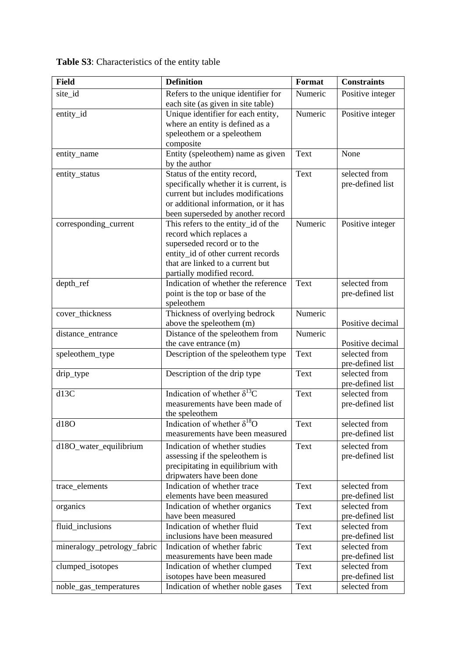| <b>Field</b>                | <b>Definition</b>                      | Format      | <b>Constraints</b> |
|-----------------------------|----------------------------------------|-------------|--------------------|
| site_id                     | Refers to the unique identifier for    | Numeric     | Positive integer   |
|                             | each site (as given in site table)     |             |                    |
| entity_id                   | Unique identifier for each entity,     | Numeric     | Positive integer   |
|                             | where an entity is defined as a        |             |                    |
|                             | speleothem or a speleothem             |             |                    |
|                             | composite                              |             |                    |
| entity_name                 | Entity (speleothem) name as given      | Text        | None               |
|                             | by the author                          |             |                    |
| entity_status               | Status of the entity record,           | Text        | selected from      |
|                             | specifically whether it is current, is |             | pre-defined list   |
|                             | current but includes modifications     |             |                    |
|                             | or additional information, or it has   |             |                    |
|                             | been superseded by another record      |             |                    |
| corresponding_current       | This refers to the entity_id of the    | Numeric     | Positive integer   |
|                             | record which replaces a                |             |                    |
|                             | superseded record or to the            |             |                    |
|                             | entity_id of other current records     |             |                    |
|                             | that are linked to a current but       |             |                    |
|                             | partially modified record.             |             |                    |
| depth_ref                   | Indication of whether the reference    | Text        | selected from      |
|                             | point is the top or base of the        |             | pre-defined list   |
|                             | speleothem                             |             |                    |
| cover_thickness             | Thickness of overlying bedrock         | Numeric     |                    |
|                             | above the speleothem (m)               |             | Positive decimal   |
| distance_entrance           | Distance of the speleothem from        | Numeric     |                    |
|                             | the cave entrance (m)                  |             | Positive decimal   |
| speleothem_type             | Description of the speleothem type     | Text        | selected from      |
|                             |                                        |             | pre-defined list   |
| drip_type                   | Description of the drip type           | Text        | selected from      |
|                             |                                        |             | pre-defined list   |
| d13C                        | Indication of whether $\delta^{13}C$   | <b>Text</b> | selected from      |
|                             | measurements have been made of         |             | pre-defined list   |
|                             | the speleothem                         |             |                    |
| d18O                        | Indication of whether $\delta^{18}O$   | Text        | selected from      |
|                             | measurements have been measured        |             | pre-defined list   |
| d18O_water_equilibrium      | Indication of whether studies          | Text        | selected from      |
|                             | assessing if the speleothem is         |             | pre-defined list   |
|                             | precipitating in equilibrium with      |             |                    |
|                             | dripwaters have been done              |             |                    |
| trace_elements              | Indication of whether trace            | Text        | selected from      |
|                             | elements have been measured            |             | pre-defined list   |
| organics                    | Indication of whether organics         | Text        | selected from      |
|                             | have been measured                     |             | pre-defined list   |
| fluid_inclusions            | Indication of whether fluid            | Text        | selected from      |
|                             | inclusions have been measured          |             | pre-defined list   |
| mineralogy_petrology_fabric | Indication of whether fabric           | Text        | selected from      |
|                             | measurements have been made            |             | pre-defined list   |
| clumped_isotopes            | Indication of whether clumped          | Text        | selected from      |
|                             | isotopes have been measured            |             | pre-defined list   |
| noble_gas_temperatures      | Indication of whether noble gases      | Text        | selected from      |

**Table S3**: Characteristics of the entity table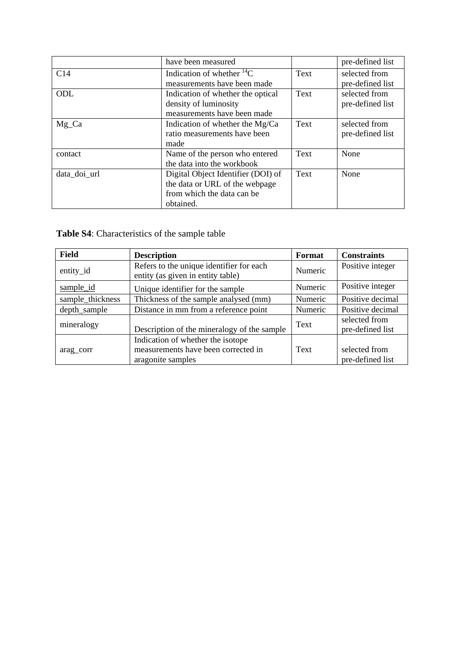|              | have been measured                                                                                              |      | pre-defined list                  |
|--------------|-----------------------------------------------------------------------------------------------------------------|------|-----------------------------------|
| C14          | Indication of whether ${}^{14}C$<br>measurements have been made                                                 | Text | selected from<br>pre-defined list |
| ODL          | Indication of whether the optical<br>density of luminosity<br>measurements have been made                       | Text | selected from<br>pre-defined list |
| $Mg_C$       | Indication of whether the Mg/Ca<br>ratio measurements have been<br>made                                         | Text | selected from<br>pre-defined list |
| contact      | Name of the person who entered<br>the data into the workbook                                                    | Text | None                              |
| data doi url | Digital Object Identifier (DOI) of<br>the data or URL of the webpage<br>from which the data can be<br>obtained. | Text | None                              |

**Table S4**: Characteristics of the sample table

| <b>Field</b>     | <b>Description</b>                                                            | <b>Format</b> | <b>Constraints</b>                |
|------------------|-------------------------------------------------------------------------------|---------------|-----------------------------------|
| entity_id        | Refers to the unique identifier for each<br>entity (as given in entity table) | Numeric       | Positive integer                  |
| sample_id        | Unique identifier for the sample                                              | Numeric       | Positive integer                  |
| sample_thickness | Thickness of the sample analysed (mm)                                         | Numeric       | Positive decimal                  |
| depth_sample     | Distance in mm from a reference point                                         | Numeric       | Positive decimal                  |
| mineralogy       | Description of the mineralogy of the sample                                   | Text          | selected from<br>pre-defined list |
|                  | Indication of whether the isotope                                             |               |                                   |
| arag corr        | measurements have been corrected in                                           | Text          | selected from                     |
|                  | aragonite samples                                                             |               | pre-defined list                  |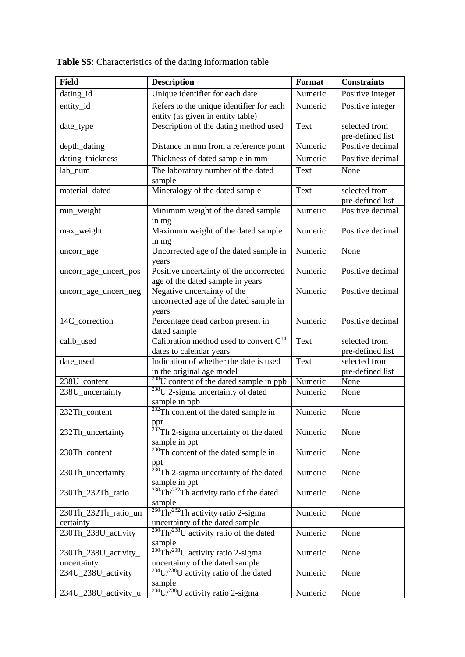| <b>Field</b>                        | <b>Description</b>                                                                                | Format  | <b>Constraints</b>                |
|-------------------------------------|---------------------------------------------------------------------------------------------------|---------|-----------------------------------|
| dating_id                           | Unique identifier for each date                                                                   | Numeric | Positive integer                  |
| entity_id                           | Refers to the unique identifier for each<br>entity (as given in entity table)                     | Numeric | Positive integer                  |
| date_type                           | Description of the dating method used                                                             | Text    | selected from<br>pre-defined list |
| depth_dating                        | Distance in mm from a reference point                                                             | Numeric | Positive decimal                  |
| dating_thickness                    | Thickness of dated sample in mm                                                                   | Numeric | Positive decimal                  |
| lab_num                             | The laboratory number of the dated<br>sample                                                      | Text    | None                              |
| material_dated                      | Mineralogy of the dated sample                                                                    | Text    | selected from<br>pre-defined list |
| min_weight                          | Minimum weight of the dated sample<br>in mg                                                       | Numeric | Positive decimal                  |
| max_weight                          | Maximum weight of the dated sample<br>in mg                                                       | Numeric | Positive decimal                  |
| uncorr_age                          | Uncorrected age of the dated sample in<br>years                                                   | Numeric | None                              |
| uncorr_age_uncert_pos               | Positive uncertainty of the uncorrected<br>age of the dated sample in years                       | Numeric | Positive decimal                  |
| uncorr_age_uncert_neg               | Negative uncertainty of the<br>uncorrected age of the dated sample in<br>years                    | Numeric | Positive decimal                  |
| 14C_correction                      | Percentage dead carbon present in<br>dated sample                                                 | Numeric | Positive decimal                  |
| calib_used                          | Calibration method used to convert $C^{14}$<br>dates to calendar years                            | Text    | selected from<br>pre-defined list |
| date_used                           | Indication of whether the date is used<br>in the original age model                               | Text    | selected from<br>pre-defined list |
| 238U_content                        | <sup>238</sup> U content of the dated sample in ppb                                               | Numeric | None                              |
| 238U_uncertainty                    | $238$ U 2-sigma uncertainty of dated<br>sample in ppb                                             | Numeric | None                              |
| 232Th content                       | <sup>232</sup> Th content of the dated sample in<br>ppt                                           | Numeric | None                              |
| 232Th_uncertainty                   | $\frac{232}{232}$ Th 2-sigma uncertainty of the dated<br>sample in ppt                            | Numeric | None                              |
| 230Th_content                       | $230$ Th content of the dated sample in                                                           | Numeric | None                              |
| 230Th_uncertainty                   | $\frac{\text{ppt}}{230 \text{ Th } 2\text{-sigma}$ uncertainty of the dated<br>sample in ppt      | Numeric | None                              |
| 230Th 232Th ratio                   | $230$ Th/ $232$ Th activity ratio of the dated<br>sample                                          | Numeric | None                              |
| 230Th_232Th_ratio_un<br>certainty   | $230$ Th <sup><math>232</math></sup> Th activity ratio 2-sigma<br>uncertainty of the dated sample | Numeric | None                              |
| 230Th_238U_activity                 | $^{230}$ Th/ $^{238}$ U activity ratio of the dated<br>sample                                     | Numeric | None                              |
| 230Th_238U_activity_<br>uncertainty | $\sqrt[230]{\text{Th}/^{238}\text{U}}$ activity ratio 2-sigma<br>uncertainty of the dated sample  | Numeric | None                              |
| 234U_238U_activity                  | $\sqrt[234]{U^{238}U}$ activity ratio of the dated<br>sample                                      | Numeric | None                              |
| 234U_238U_activity_u                | $234$ U/ $238$ U activity ratio 2-sigma                                                           | Numeric | None                              |

**Table S5**: Characteristics of the dating information table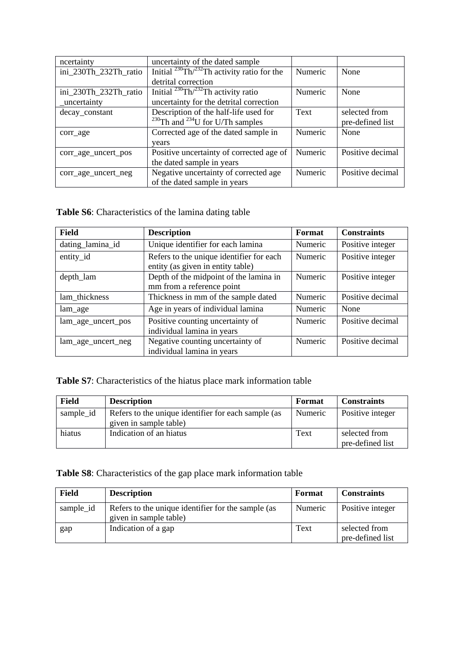| ncertainty            | uncertainty of the dated sample                         |         |                  |
|-----------------------|---------------------------------------------------------|---------|------------------|
| ini_230Th_232Th_ratio | Initial $^{230}$ Th $/^{232}$ Th activity ratio for the | Numeric | None             |
|                       | detrital correction                                     |         |                  |
| ini_230Th_232Th_ratio | Initial $^{230}$ Th $/^{232}$ Th activity ratio         | Numeric | None             |
| _uncertainty          | uncertainty for the detrital correction                 |         |                  |
| decay_constant        | Description of the half-life used for                   | Text    | selected from    |
|                       | $^{230}$ Th and $^{234}$ U for U/Th samples             |         | pre-defined list |
| corr_age              | Corrected age of the dated sample in                    | Numeric | None             |
|                       | vears                                                   |         |                  |
| corr_age_uncert_pos   | Positive uncertainty of corrected age of                | Numeric | Positive decimal |
|                       | the dated sample in years                               |         |                  |
| corr age uncert neg   | Negative uncertainty of corrected age                   | Numeric | Positive decimal |
|                       | of the dated sample in years                            |         |                  |

**Table S6**: Characteristics of the lamina dating table

| <b>Field</b>       | <b>Description</b>                                                            | Format  | <b>Constraints</b> |
|--------------------|-------------------------------------------------------------------------------|---------|--------------------|
| dating_lamina_id   | Unique identifier for each lamina                                             | Numeric | Positive integer   |
| entity_id          | Refers to the unique identifier for each<br>entity (as given in entity table) | Numeric | Positive integer   |
| depth_lam          | Depth of the midpoint of the lamina in<br>mm from a reference point           | Numeric | Positive integer   |
| lam_thickness      | Thickness in mm of the sample dated                                           | Numeric | Positive decimal   |
| lam_age            | Age in years of individual lamina                                             | Numeric | None               |
| lam_age_uncert_pos | Positive counting uncertainty of<br>individual lamina in years                | Numeric | Positive decimal   |
| lam_age_uncert_neg | Negative counting uncertainty of<br>individual lamina in years                | Numeric | Positive decimal   |

**Table S7**: Characteristics of the hiatus place mark information table

| Field     | <b>Description</b>                                                            | Format  | <b>Constraints</b>                |
|-----------|-------------------------------------------------------------------------------|---------|-----------------------------------|
| sample_id | Refers to the unique identifier for each sample (as<br>given in sample table) | Numeric | Positive integer                  |
| hiatus    | Indication of an hiatus                                                       | Text    | selected from<br>pre-defined list |

**Table S8**: Characteristics of the gap place mark information table

| <b>Field</b> | <b>Description</b>                                                           | Format  | <b>Constraints</b>                |
|--------------|------------------------------------------------------------------------------|---------|-----------------------------------|
| sample_id    | Refers to the unique identifier for the sample (as<br>given in sample table) | Numeric | Positive integer                  |
| gap          | Indication of a gap                                                          | Text    | selected from<br>pre-defined list |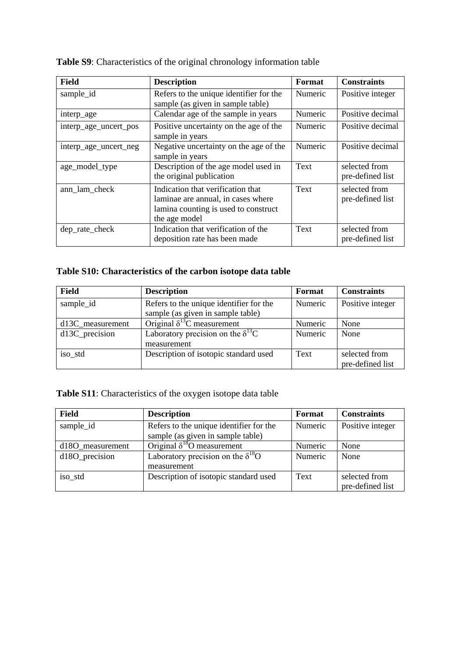| <b>Field</b>          | <b>Description</b>                                                                                                               | Format         | <b>Constraints</b>                |
|-----------------------|----------------------------------------------------------------------------------------------------------------------------------|----------------|-----------------------------------|
| sample_id             | Refers to the unique identifier for the                                                                                          | <b>Numeric</b> | Positive integer                  |
|                       | sample (as given in sample table)                                                                                                |                |                                   |
| interp_age            | Calendar age of the sample in years                                                                                              | Numeric        | Positive decimal                  |
| interp_age_uncert_pos | Positive uncertainty on the age of the<br>sample in years                                                                        | Numeric        | Positive decimal                  |
| interp_age_uncert_neg | Negative uncertainty on the age of the<br>sample in years                                                                        | Numeric        | Positive decimal                  |
| age_model_type        | Description of the age model used in<br>the original publication                                                                 | Text           | selected from<br>pre-defined list |
| ann_lam_check         | Indication that verification that<br>laminae are annual, in cases where<br>lamina counting is used to construct<br>the age model | Text           | selected from<br>pre-defined list |
| dep_rate_check        | Indication that verification of the<br>deposition rate has been made                                                             | Text           | selected from<br>pre-defined list |

**Table S9**: Characteristics of the original chronology information table

# **Table S10: Characteristics of the carbon isotope data table**

| <b>Field</b>     | <b>Description</b>                         | Format  | <b>Constraints</b>                |
|------------------|--------------------------------------------|---------|-----------------------------------|
| sample_id        | Refers to the unique identifier for the    | Numeric | Positive integer                  |
|                  | sample (as given in sample table)          |         |                                   |
| d13C_measurement | Original $\delta^{13}$ C measurement       | Numeric | None                              |
| d13C_precision   | Laboratory precision on the $\delta^{13}C$ | Numeric | None                              |
|                  | measurement                                |         |                                   |
| iso_std          | Description of isotopic standard used      | Text    | selected from<br>pre-defined list |

# **Table S11**: Characteristics of the oxygen isotope data table

| <b>Field</b>                 | <b>Description</b>                         | Format  | <b>Constraints</b> |
|------------------------------|--------------------------------------------|---------|--------------------|
| sample_id                    | Refers to the unique identifier for the    | Numeric | Positive integer   |
|                              | sample (as given in sample table)          |         |                    |
| d <sub>180</sub> measurement | Original $\delta^{18}$ O measurement       | Numeric | None               |
| d180_precision               | Laboratory precision on the $\delta^{18}O$ | Numeric | None               |
|                              | measurement                                |         |                    |
| iso_std                      | Description of isotopic standard used      | Text    | selected from      |
|                              |                                            |         | pre-defined list   |